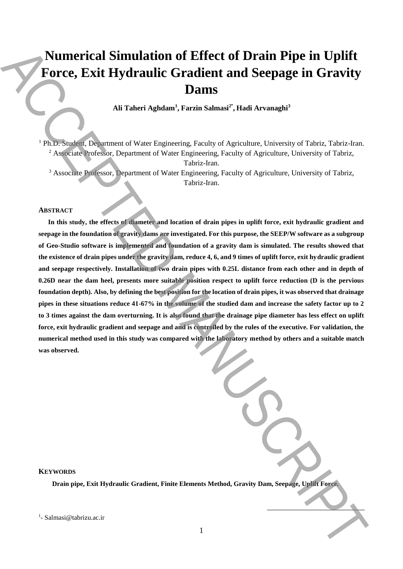# **Numerical Simulation of Effect of Drain Pipe in Uplift Force, Exit Hydraulic Gradient and Seepage in Gravity Dams**

Ali Taheri Aghdam<sup>1</sup>, Farzin Salmasi<sup>2\*</sup>, Hadi Arvanaghi<sup>3</sup>

<sup>1</sup> Ph.D. Student, Department of Water Engineering, Faculty of Agriculture, University of Tabriz, Tabriz-Iran. <sup>2</sup> Associate Professor, Department of Water Engineering, Faculty of Agriculture, University of Tabriz,

Tabriz-Iran.

<sup>3</sup> Associate Professor, Department of Water Engineering, Faculty of Agriculture, University of Tabriz, Tabriz-Iran.

#### **ABSTRACT**

**In this study, the effects of diameter and location of drain pipes in uplift force, exit hydraulic gradient and seepage in the foundation of gravity dams are investigated. For this purpose, the SEEP/W software as a subgroup of Geo-Studio software is implemented and foundation of a gravity dam is simulated. The results showed that the existence of drain pipes under the gravity dam, reduce 4, 6, and 9 times of uplift force, exit hydraulic gradient and seepage respectively. Installation of two drain pipes with 0.25L distance from each other and in depth of 0.26D near the dam heel, presents more suitable position respect to uplift force reduction (D is the pervious foundation depth). Also, by defining the best position for the location of drain pipes, it was observed that drainage pipes in these situations reduce 41-67% in the volume of the studied dam and increase the safety factor up to 2 to 3 times against the dam overturning. It is also found that the drainage pipe diameter has less effect on uplift force, exit hydraulic gradient and seepage and and is controlled by the rules of the executive. For validation, the numerical method used in this study was compared with the laboratory method by others and a suitable match was observed. Numerical Simulation of Effect of Drain Pipe in Uplift<br>
Force, Exit Hydraulic Gradient and Seepage in Gravity<br>
All Tuberi Aghdam, Turini Salma<sup>n</sup>, Turini Asima<sup>n</sup>, Turini Avanaghi<br>
All Tuberi Aghdam, Turini Salman, Turin** 

**KEYWORDS** 

 **Drain pipe, Exit Hydraulic Gradient, Finite Elements Method, Gravity Dam, Seepage, Uplift Force.**

 $<sup>1</sup>$ - Salmasi@tabrizu.ac.ir</sup>

 $\overline{\phantom{a}}$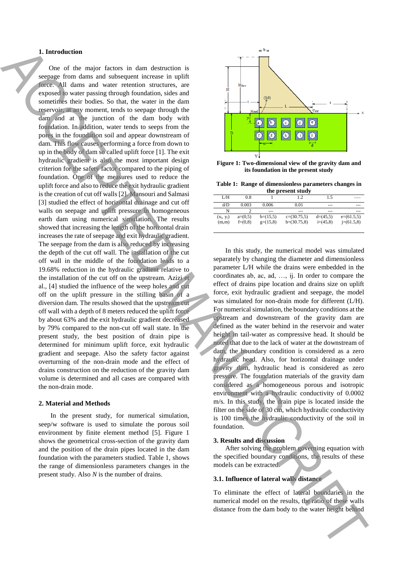#### **1. Introduction**

 One of the major factors in dam destruction is seepage from dams and subsequent increase in uplift force. All dams and water retention structures, are exposed to water passing through foundation, sides and sometimes their bodies. So that, the water in the dam reservoir, at any moment, tends to seepage through the dam and at the junction of the dam body with foundation. In addition, water tends to seeps from the pores in the foundation soil and appear downstream of dam. This flow causes performing a force from down to up in the body of dam so called uplift force [1]. The exit hydraulic gradient is also the most important design criterion for the safety factor compared to the piping of foundation. One of the measures used to reduce the uplift force and also to reduce the exit hydraulic gradient is the creation of cut off walls [2]. Mansouri and Salmasi [3] studied the effect of horizontal drainage and cut off walls on seepage and uplift pressure in homogeneous earth dam using numerical simulation. The results showed that increasing the length of the horizontal drain increases the rate of seepage and exit hydraulic gradient. The seepage from the dam is also reduced by increasing the depth of the cut off wall. The installation of the cut off wall in the middle of the foundation leads to a 19.68% reduction in the hydraulic gradient relative to the installation of the cut off on the upstream. Azizi et al., [4] studied the influence of the weep holes and cut off on the uplift pressure in the stilling basin of a diversion dam. The results showed that the upstream cut off wall with a depth of 8 meters reduced the uplift force by about 63% and the exit hydraulic gradient decreased by 79% compared to the non-cut off wall state. In the present study, the best position of drain pipe is determined for minimum uplift force, exit hydraulic gradient and seepage. Also the safety factor against overturning of the non-drain mode and the effect of drains construction on the reduction of the gravity dam volume is determined and all cases are compared with the non-drain mode. The body distance from the dam body of the water is a matter of the water in the state of the water in the state of the water in the state of the water in the state of the water in the state of the water in the state of t

#### **2. Material and Methods**

 In the present study, for numerical simulation, seep/w software is used to simulate the porous soil environment by finite element method [5]. Figure 1 shows the geometrical cross-section of the gravity dam and the position of the drain pipes located in the dam foundation with the parameters studied. Table 1, shows the range of dimensionless parameters changes in the present study. Also *N* is the number of drains.



**Figure 1: Two-dimensional view of the gravity dam and its foundation in the present study**

**Table 1: Range of dimensionless parameters changes in the present study**

| un present stuur |           |            |               |            |              |
|------------------|-----------|------------|---------------|------------|--------------|
| L/H              | 0.8       |            | 1.2           | 1.5        |              |
| d/D              | 0.003     | 0.006      | 0.01          | ---        | ---          |
| N                |           | $- - -$    | ---           | ---        |              |
| $(x_i, y_i)$     | $a=(0,5)$ | $b=(15,5)$ | $c=(30.75,5)$ | $d=(45.5)$ | $e=(61.5,5)$ |
| (m,m)            | $f=(0.8)$ | $g=(15,8)$ | $h=(30.75.8)$ | $i=(45.8)$ | $i=(61.5,8)$ |

 In this study, the numerical model was simulated separately by changing the diameter and dimensionless parameter L/H while the drains were embedded in the coordinates ab, ac, ad, …, ij. In order to compare the effect of drains pipe location and drains size on uplift force, exit hydraulic gradient and seepage, the model was simulated for non-drain mode for different (L/H). For numerical simulation, the boundary conditions at the upstream and downstream of the gravity dam are defined as the water behind in the reservoir and water height in tail-water as compressive head. It should be noted that due to the lack of water at the downstream of dam, the boundary condition is considered as a zero hydraulic head. Also, for horizontal drainage under gravity dam, hydraulic head is considered as zero pressure. The foundation materials of the gravity dam considered as a homogeneous porous and isotropic environment with a hydraulic conductivity of 0.0002 m/s. In this study, the drain pipe is located inside the filter on the side of 30 cm, which hydraulic conductivity is 100 times the hydraulic conductivity of the soil in foundation.

#### **3. Results and discussion**

 After solving the problem governing equation with the specified boundary conditions, the results of these models can be extracted.

# **3.1. Influence of lateral walls distance**

To eliminate the effect of lateral boundaries in the numerical model on the results, the ratio of these walls